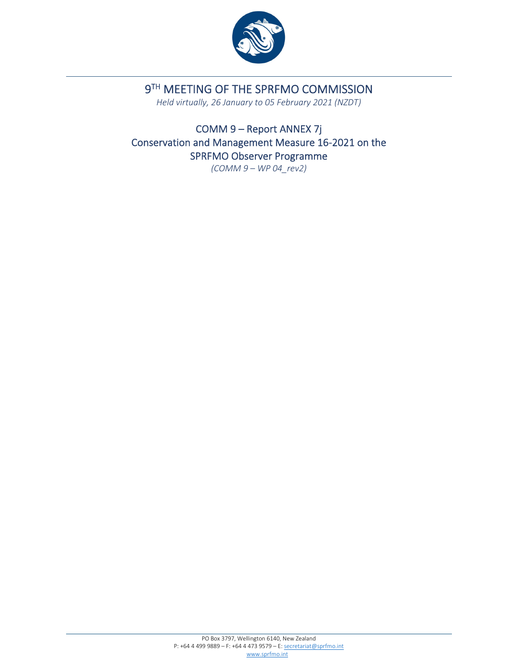

# 9TH MEETING OF THE SPRFMO COMMISSION

*Held virtually, 26 January to 05 February 2021 (NZDT)*

COMM 9 – Report ANNEX 7j Conservation and Management Measure 16‐2021 on the SPRFMO Observer Programme

*(COMM 9 – WP 04\_rev2)*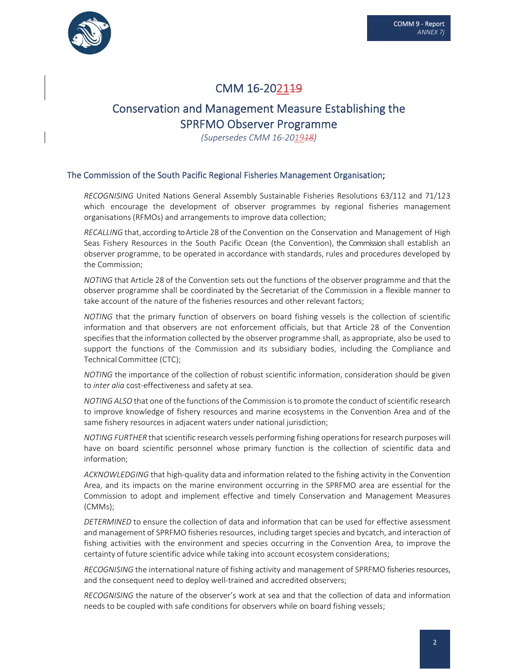

# CMM 16-202149

# Conservation and Management Measure Establishing the SPRFMO Observer Programme

*(Supersedes CMM 16‐201918)*

#### The Commission of the South Pacific Regional Fisheries Management Organisation;

*RECOGNISING* United Nations General Assembly Sustainable Fisheries Resolutions 63/112 and 71/123 which encourage the development of observer programmes by regional fisheries management organisations (RFMOs) and arrangements to improve data collection;

*RECALLING* that,according toArticle 28 of the Convention on the Conservation and Management of High Seas Fishery Resources in the South Pacific Ocean (the Convention), the Commission shall establish an observer programme, to be operated in accordance with standards, rules and procedures developed by the Commission;

*NOTING* that Article 28 of the Convention sets out the functions of the observer programme and that the observer programme shall be coordinated by the Secretariat of the Commission in a flexible manner to take account of the nature of the fisheries resources and other relevant factors;

*NOTING* that the primary function of observers on board fishing vessels is the collection of scientific information and that observers are not enforcement officials, but that Article 28 of the Convention specifiesthat the information collected by the observer programme shall, as appropriate, also be used to support the functions of the Commission and its subsidiary bodies, including the Compliance and Technical Committee (CTC);

*NOTING* the importance of the collection of robust scientific information, consideration should be given to *inter alia* cost‐effectiveness and safety at sea.

*NOTING* ALSO that one of the functions of the Commission is to promote the conduct of scientific research to improve knowledge of fishery resources and marine ecosystems in the Convention Area and of the same fishery resources in adjacent waters under national jurisdiction;

*NOTING FURTHER* that scientific research vessels performing fishing operations for research purposes will have on board scientific personnel whose primary function is the collection of scientific data and information;

*ACKNOWLEDGING* that high‐quality data and information related to the fishing activity in the Convention Area, and its impacts on the marine environment occurring in the SPRFMO area are essential for the Commission to adopt and implement effective and timely Conservation and Management Measures (CMMs);

*DETERMINED* to ensure the collection of data and information that can be used for effective assessment and management of SPRFMO fisheries resources, including target species and bycatch, and interaction of fishing activities with the environment and species occurring in the Convention Area, to improve the certainty of future scientific advice while taking into account ecosystem considerations;

*RECOGNISING* the international nature of fishing activity and management of SPRFMO fisheries resources, and the consequent need to deploy well-trained and accredited observers;

*RECOGNISING* the nature of the observer's work at sea and that the collection of data and information needs to be coupled with safe conditions for observers while on board fishing vessels;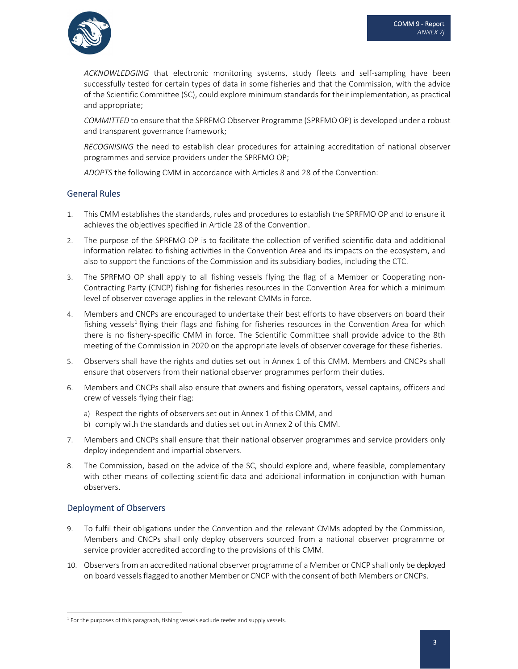

*ACKNOWLEDGING* that electronic monitoring systems, study fleets and self-sampling have been successfully tested for certain types of data in some fisheries and that the Commission, with the advice of the Scientific Committee (SC), could explore minimum standards for their implementation, as practical and appropriate;

*COMMITTED* to ensure that the SPRFMO Observer Programme (SPRFMO OP) is developed under a robust and transparent governance framework;

*RECOGNISING* the need to establish clear procedures for attaining accreditation of national observer programmes and service providers under the SPRFMO OP;

*ADOPTS* the following CMM in accordance with Articles 8 and 28 of the Convention:

#### General Rules

- 1. This CMM establishes the standards, rules and procedures to establish the SPRFMO OP and to ensure it achieves the objectives specified in Article 28 of the Convention.
- 2. The purpose of the SPRFMO OP is to facilitate the collection of verified scientific data and additional information related to fishing activities in the Convention Area and its impacts on the ecosystem, and also to support the functions of the Commission and its subsidiary bodies, including the CTC.
- 3. The SPRFMO OP shall apply to all fishing vessels flying the flag of a Member or Cooperating non‐ Contracting Party (CNCP) fishing for fisheries resources in the Convention Area for which a minimum level of observer coverage applies in the relevant CMMs in force.
- 4. Members and CNCPs are encouraged to undertake their best efforts to have observers on board their fishing vessels<sup>1</sup> flying their flags and fishing for fisheries resources in the Convention Area for which there is no fishery‐specific CMM in force. The Scientific Committee shall provide advice to the 8th meeting of the Commission in 2020 on the appropriate levels of observer coverage for these fisheries.
- 5. Observers shall have the rights and duties set out in Annex 1 of this CMM. Members and CNCPs shall ensure that observers from their national observer programmes perform their duties.
- 6. Members and CNCPs shall also ensure that owners and fishing operators, vessel captains, officers and crew of vessels flying their flag:
	- a) Respect the rights of observers set out in Annex 1 of this CMM, and
	- b) comply with the standards and duties set out in Annex 2 of this CMM.
- 7. Members and CNCPs shall ensure that their national observer programmes and service providers only deploy independent and impartial observers.
- 8. The Commission, based on the advice of the SC, should explore and, where feasible, complementary with other means of collecting scientific data and additional information in conjunction with human observers.

### Deployment of Observers

- 9. To fulfil their obligations under the Convention and the relevant CMMs adopted by the Commission, Members and CNCPs shall only deploy observers sourced from a national observer programme or service provider accredited according to the provisions of this CMM.
- 10. Observersfrom an accredited national observer programme of a Member or CNCP shall only be deployed on board vesselsflagged to another Member or CNCP with the consent of both Members or CNCPs.

 $1$  For the purposes of this paragraph, fishing vessels exclude reefer and supply vessels.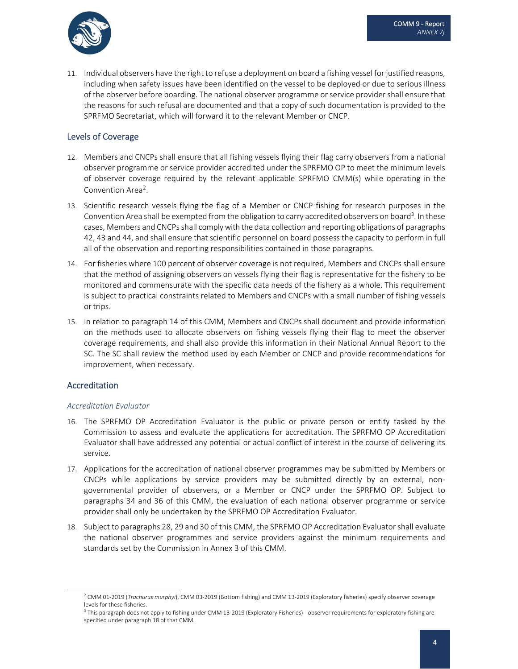

11. Individual observers have the right to refuse a deployment on board a fishing vessel for justified reasons, including when safety issues have been identified on the vessel to be deployed or due to serious illness of the observer before boarding. The national observer programme orservice provider shall ensure that the reasons for such refusal are documented and that a copy of such documentation is provided to the SPRFMO Secretariat, which will forward it to the relevant Member or CNCP.

#### Levels of Coverage

- 12. Members and CNCPs shall ensure that all fishing vessels flying their flag carry observers from a national observer programme or service provider accredited under the SPRFMO OP to meet the minimum levels of observer coverage required by the relevant applicable SPRFMO CMM(s) while operating in the Convention Area<sup>2</sup>.
- 13. Scientific research vessels flying the flag of a Member or CNCP fishing for research purposes in the Convention Area shall be exempted from the obligation to carry accredited observers on board<sup>3</sup>. In these cases, Members and CNCPs shall comply with the data collection and reporting obligations of paragraphs 42, 43 and 44, and shall ensure that scientific personnel on board possess the capacity to perform in full all of the observation and reporting responsibilities contained in those paragraphs.
- 14. For fisheries where 100 percent of observer coverage is not required, Members and CNCPs shall ensure that the method of assigning observers on vessels flying their flag is representative for the fishery to be monitored and commensurate with the specific data needs of the fishery as a whole. This requirement is subject to practical constraints related to Members and CNCPs with a small number of fishing vessels or trips.
- 15. In relation to paragraph 14 of this CMM, Members and CNCPs shall document and provide information on the methods used to allocate observers on fishing vessels flying their flag to meet the observer coverage requirements, and shall also provide this information in their National Annual Report to the SC. The SC shall review the method used by each Member or CNCP and provide recommendations for improvement, when necessary.

#### Accreditation

#### *Accreditation Evaluator*

- 16. The SPRFMO OP Accreditation Evaluator is the public or private person or entity tasked by the Commission to assess and evaluate the applications for accreditation. The SPRFMO OP Accreditation Evaluator shall have addressed any potential or actual conflict of interest in the course of delivering its service.
- 17. Applications for the accreditation of national observer programmes may be submitted by Members or CNCPs while applications by service providers may be submitted directly by an external, non‐ governmental provider of observers, or a Member or CNCP under the SPRFMO OP. Subject to paragraphs 34 and 36 of this CMM, the evaluation of each national observer programme or service provider shall only be undertaken by the SPRFMO OP Accreditation Evaluator.
- 18. Subject to paragraphs 28, 29 and 30 of this CMM, the SPRFMO OP Accreditation Evaluatorshall evaluate the national observer programmes and service providers against the minimum requirements and standards set by the Commission in Annex 3 of this CMM.

<sup>2</sup> CMM 01‐2019 (*Trachurus murphyi*), CMM 03‐2019 (Bottom fishing) and CMM 13‐2019 (Exploratory fisheries) specify observer coverage levels for these fisheries.

<sup>&</sup>lt;sup>3</sup> This paragraph does not apply to fishing under CMM 13-2019 (Exploratory Fisheries) - observer requirements for exploratory fishing are specified under paragraph 18 of that CMM.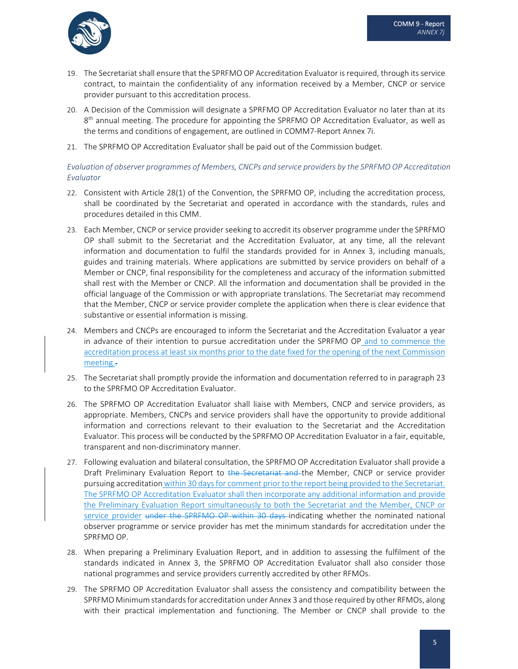

- 19. The Secretariat shall ensure that the SPRFMO OP Accreditation Evaluator is required, through its service contract, to maintain the confidentiality of any information received by a Member, CNCP or service provider pursuant to this accreditation process.
- 20. A Decision of the Commission will designate a SPRFMO OP Accreditation Evaluator no later than at its  $8<sup>th</sup>$  annual meeting. The procedure for appointing the SPRFMO OP Accreditation Evaluator, as well as the terms and conditions of engagement, are outlined in COMM7‐Report Annex 7i.
- 21. The SPRFMO OP Accreditation Evaluator shall be paid out of the Commission budget.

#### *Evaluation of observer programmes of Members, CNCPs and service providers by the SPRFMO OP Accreditation Evaluator*

- 22. Consistent with Article 28(1) of the Convention, the SPRFMO OP, including the accreditation process, shall be coordinated by the Secretariat and operated in accordance with the standards, rules and procedures detailed in this CMM.
- 23. Each Member, CNCP or service provider seeking to accredit its observer programme under the SPRFMO OP shall submit to the Secretariat and the Accreditation Evaluator, at any time, all the relevant information and documentation to fulfil the standards provided for in Annex 3, including manuals, guides and training materials. Where applications are submitted by service providers on behalf of a Member or CNCP, final responsibility for the completeness and accuracy of the information submitted shall rest with the Member or CNCP. All the information and documentation shall be provided in the official language of the Commission or with appropriate translations. The Secretariat may recommend that the Member, CNCP or service provider complete the application when there is clear evidence that substantive or essential information is missing.
- 24. Members and CNCPs are encouraged to inform the Secretariat and the Accreditation Evaluator a year in advance of their intention to pursue accreditation under the SPRFMO OP and to commence the accreditation process at least six months prior to the date fixed for the opening of the next Commission meeting..
- 25. The Secretariat shall promptly provide the information and documentation referred to in paragraph 23 to the SPRFMO OP Accreditation Evaluator.
- 26. The SPRFMO OP Accreditation Evaluator shall liaise with Members, CNCP and service providers, as appropriate. Members, CNCPs and service providers shall have the opportunity to provide additional information and corrections relevant to their evaluation to the Secretariat and the Accreditation Evaluator. This process will be conducted by the SPRFMO OP Accreditation Evaluator in a fair, equitable, transparent and non‐discriminatory manner.
- 27. Following evaluation and bilateral consultation, the SPRFMO OP Accreditation Evaluator shall provide a Draft Preliminary Evaluation Report to the Secretariat and the Member, CNCP or service provider pursuing accreditation within 30 days for comment prior to the report being provided to the Secretariat. The SPRFMO OP Accreditation Evaluator shall then incorporate any additional information and provide the Preliminary Evaluation Report simultaneously to both the Secretariat and the Member, CNCP or service provider under the SPRFMO OP within 30 days indicating whether the nominated national observer programme or service provider has met the minimum standards for accreditation under the SPRFMO OP.
- 28. When preparing a Preliminary Evaluation Report, and in addition to assessing the fulfilment of the standards indicated in Annex 3, the SPRFMO OP Accreditation Evaluator shall also consider those national programmes and service providers currently accredited by other RFMOs.
- 29. The SPRFMO OP Accreditation Evaluator shall assess the consistency and compatibility between the SPRFMO Minimum standardsfor accreditation under Annex 3 and those required by other RFMOs, along with their practical implementation and functioning. The Member or CNCP shall provide to the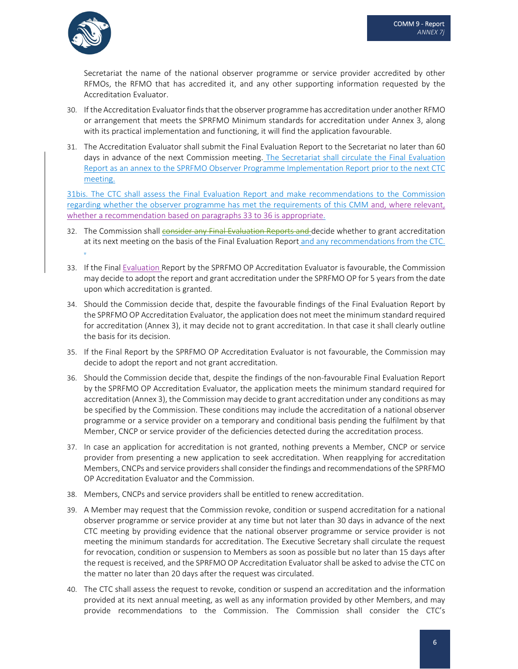

Secretariat the name of the national observer programme or service provider accredited by other RFMOs, the RFMO that has accredited it, and any other supporting information requested by the Accreditation Evaluator.

- 30. If the Accreditation Evaluator finds that the observer programme has accreditation under another RFMO or arrangement that meets the SPRFMO Minimum standards for accreditation under Annex 3, along with its practical implementation and functioning, it will find the application favourable.
- 31. The Accreditation Evaluator shall submit the Final Evaluation Report to the Secretariat no later than 60 days in advance of the next Commission meeting. The Secretariat shall circulate the Final Evaluation Report as an annex to the SPRFMO Observer Programme Implementation Report prior to the next CTC meeting.

31bis. The CTC shall assess the Final Evaluation Report and make recommendations to the Commission regarding whether the observer programme has met the requirements of this CMM and, where relevant, whether a recommendation based on paragraphs 33 to 36 is appropriate.

- 32. The Commission shall consider any Final Evaluation Reports and decide whether to grant accreditation at its next meeting on the basis of the Final Evaluation Report and any recommendations from the CTC. .
- 33. If the Final Evaluation Report by the SPRFMO OP Accreditation Evaluator is favourable, the Commission may decide to adopt the report and grant accreditation under the SPRFMO OP for 5 years from the date upon which accreditation is granted.
- 34. Should the Commission decide that, despite the favourable findings of the Final Evaluation Report by the SPRFMO OP Accreditation Evaluator, the application does not meet the minimum standard required for accreditation (Annex 3), it may decide not to grant accreditation. In that case it shall clearly outline the basis for its decision.
- 35. If the Final Report by the SPRFMO OP Accreditation Evaluator is not favourable, the Commission may decide to adopt the report and not grant accreditation.
- 36. Should the Commission decide that, despite the findings of the non‐favourable Final Evaluation Report by the SPRFMO OP Accreditation Evaluator, the application meets the minimum standard required for accreditation (Annex 3), the Commission may decide to grant accreditation under any conditions as may be specified by the Commission. These conditions may include the accreditation of a national observer programme or a service provider on a temporary and conditional basis pending the fulfilment by that Member, CNCP or service provider of the deficiencies detected during the accreditation process.
- 37. In case an application for accreditation is not granted, nothing prevents a Member, CNCP or service provider from presenting a new application to seek accreditation. When reapplying for accreditation Members, CNCPs and service providers shall consider the findings and recommendations of the SPRFMO OP Accreditation Evaluator and the Commission.
- 38. Members, CNCPs and service providers shall be entitled to renew accreditation.
- 39. A Member may request that the Commission revoke, condition or suspend accreditation for a national observer programme or service provider at any time but not later than 30 days in advance of the next CTC meeting by providing evidence that the national observer programme or service provider is not meeting the minimum standards for accreditation. The Executive Secretary shall circulate the request for revocation, condition or suspension to Members as soon as possible but no later than 15 days after the request is received, and the SPRFMO OP Accreditation Evaluator shall be asked to advise the CTC on the matter no later than 20 days after the request was circulated.
- 40. The CTC shall assess the request to revoke, condition or suspend an accreditation and the information provided at its next annual meeting, as well as any information provided by other Members, and may provide recommendations to the Commission. The Commission shall consider the CTC's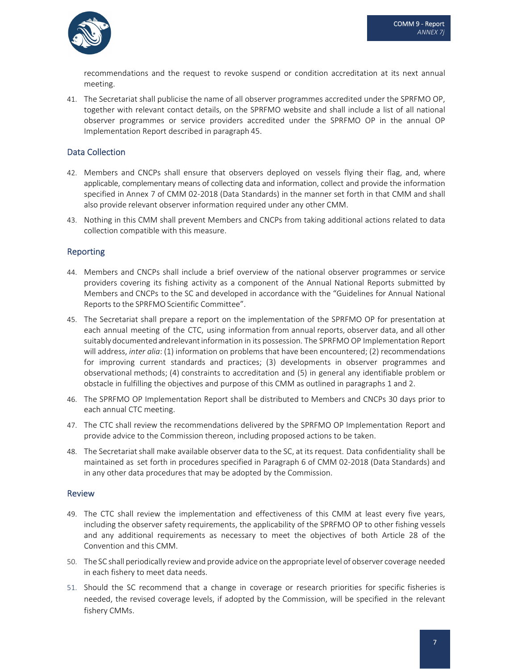

recommendations and the request to revoke suspend or condition accreditation at its next annual meeting.

41. The Secretariat shall publicise the name of all observer programmes accredited under the SPRFMO OP, together with relevant contact details, on the SPRFMO website and shall include a list of all national observer programmes or service providers accredited under the SPRFMO OP in the annual OP Implementation Report described in paragraph 45.

#### Data Collection

- 42. Members and CNCPs shall ensure that observers deployed on vessels flying their flag, and, where applicable, complementary means of collecting data and information, collect and provide the information specified in Annex 7 of CMM 02-2018 (Data Standards) in the manner set forth in that CMM and shall also provide relevant observer information required under any other CMM.
- 43. Nothing in this CMM shall prevent Members and CNCPs from taking additional actions related to data collection compatible with this measure.

#### Reporting

- 44. Members and CNCPs shall include a brief overview of the national observer programmes or service providers covering its fishing activity as a component of the Annual National Reports submitted by Members and CNCPs to the SC and developed in accordance with the "Guidelines for Annual National Reports to the SPRFMO Scientific Committee".
- 45. The Secretariat shall prepare a report on the implementation of the SPRFMO OP for presentation at each annual meeting of the CTC, using information from annual reports, observer data, and all other suitably documented andrelevantinformation in its possession. The SPRFMO OP Implementation Report will address, *inter alia*: (1) information on problems that have been encountered; (2) recommendations for improving current standards and practices; (3) developments in observer programmes and observational methods; (4) constraints to accreditation and (5) in general any identifiable problem or obstacle in fulfilling the objectives and purpose of this CMM as outlined in paragraphs 1 and 2.
- 46. The SPRFMO OP Implementation Report shall be distributed to Members and CNCPs 30 days prior to each annual CTC meeting.
- 47. The CTC shall review the recommendations delivered by the SPRFMO OP Implementation Report and provide advice to the Commission thereon, including proposed actions to be taken.
- 48. The Secretariat shall make available observer data to the SC, at its request. Data confidentiality shall be maintained as set forth in procedures specified in Paragraph 6 of CMM 02‐2018 (Data Standards) and in any other data procedures that may be adopted by the Commission.

#### Review

- 49. The CTC shall review the implementation and effectiveness of this CMM at least every five years, including the observer safety requirements, the applicability of the SPRFMO OP to other fishing vessels and any additional requirements as necessary to meet the objectives of both Article 28 of the Convention and this CMM.
- 50. The SC shall periodically reviewand provide advice on the appropriate level of observer coverage needed in each fishery to meet data needs.
- 51. Should the SC recommend that a change in coverage or research priorities for specific fisheries is needed, the revised coverage levels, if adopted by the Commission, will be specified in the relevant fishery CMMs.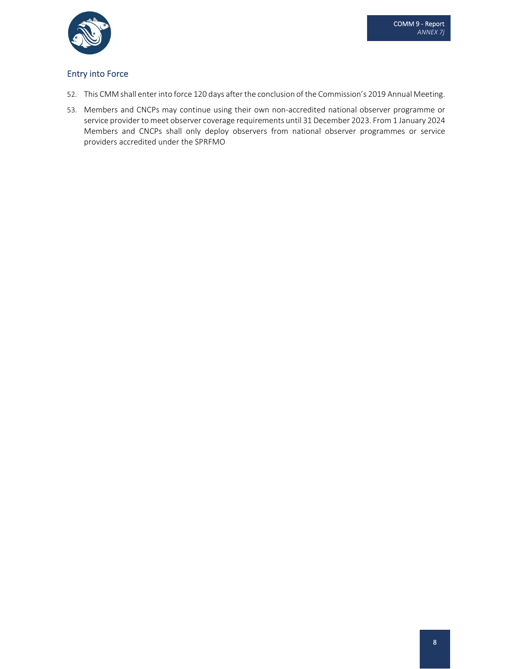

### Entry into Force

- 52. This CMM shall enter into force 120 days afterthe conclusion of the Commission's 2019 Annual Meeting.
- 53. Members and CNCPs may continue using their own non‐accredited national observer programme or service provider to meet observer coverage requirements until 31 December 2023. From 1 January 2024 Members and CNCPs shall only deploy observers from national observer programmes or service providers accredited under the SPRFMO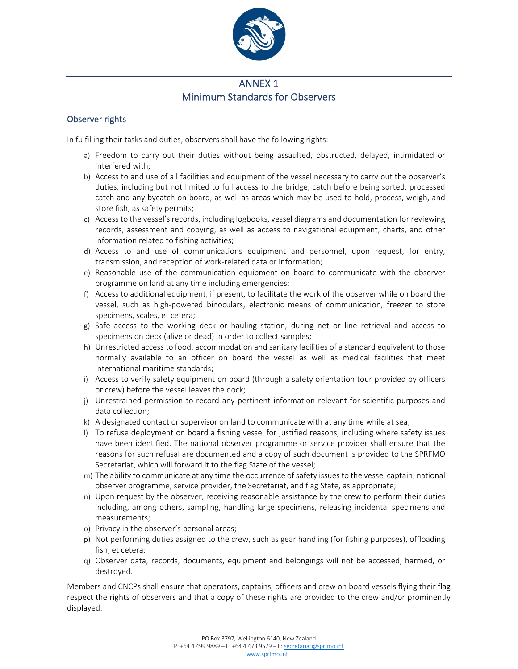

## ANNEX 1 Minimum Standards for Observers

## Observer rights

In fulfilling their tasks and duties, observers shall have the following rights:

- a) Freedom to carry out their duties without being assaulted, obstructed, delayed, intimidated or interfered with;
- b) Access to and use of all facilities and equipment of the vessel necessary to carry out the observer's duties, including but not limited to full access to the bridge, catch before being sorted, processed catch and any bycatch on board, as well as areas which may be used to hold, process, weigh, and store fish, as safety permits;
- c) Access to the vessel's records, including logbooks, vessel diagrams and documentation for reviewing records, assessment and copying, as well as access to navigational equipment, charts, and other information related to fishing activities;
- d) Access to and use of communications equipment and personnel, upon request, for entry, transmission, and reception of work‐related data or information;
- e) Reasonable use of the communication equipment on board to communicate with the observer programme on land at any time including emergencies;
- f) Access to additional equipment, if present, to facilitate the work of the observer while on board the vessel, such as high‐powered binoculars, electronic means of communication, freezer to store specimens, scales, et cetera;
- g) Safe access to the working deck or hauling station, during net or line retrieval and access to specimens on deck (alive or dead) in order to collect samples;
- h) Unrestricted access to food, accommodation and sanitary facilities of a standard equivalent to those normally available to an officer on board the vessel as well as medical facilities that meet international maritime standards;
- i) Access to verify safety equipment on board (through a safety orientation tour provided by officers or crew) before the vessel leaves the dock;
- j) Unrestrained permission to record any pertinent information relevant for scientific purposes and data collection;
- k) A designated contact or supervisor on land to communicate with at any time while at sea;
- l) To refuse deployment on board a fishing vessel for justified reasons, including where safety issues have been identified. The national observer programme or service provider shall ensure that the reasons for such refusal are documented and a copy of such document is provided to the SPRFMO Secretariat, which will forward it to the flag State of the vessel;
- m) The ability to communicate at any time the occurrence ofsafety issuesto the vessel captain, national observer programme, service provider, the Secretariat, and flag State, as appropriate;
- n) Upon request by the observer, receiving reasonable assistance by the crew to perform their duties including, among others, sampling, handling large specimens, releasing incidental specimens and measurements;
- o) Privacy in the observer's personal areas;
- p) Not performing duties assigned to the crew, such as gear handling (for fishing purposes), offloading fish, et cetera;
- q) Observer data, records, documents, equipment and belongings will not be accessed, harmed, or destroyed.

Members and CNCPs shall ensure that operators, captains, officers and crew on board vessels flying their flag respect the rights of observers and that a copy of these rights are provided to the crew and/or prominently displayed.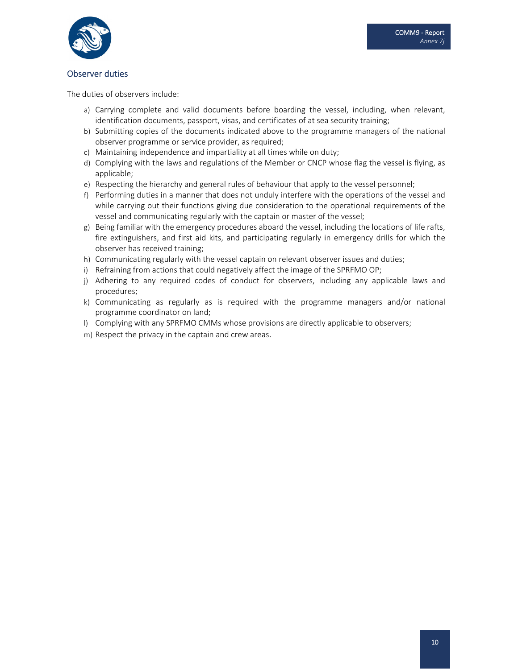

#### Observer duties

The duties of observers include:

- a) Carrying complete and valid documents before boarding the vessel, including, when relevant, identification documents, passport, visas, and certificates of at sea security training;
- b) Submitting copies of the documents indicated above to the programme managers of the national observer programme or service provider, as required;
- c) Maintaining independence and impartiality at all times while on duty;
- d) Complying with the laws and regulations of the Member or CNCP whose flag the vessel is flying, as applicable;
- e) Respecting the hierarchy and general rules of behaviour that apply to the vessel personnel;
- f) Performing duties in a manner that does not unduly interfere with the operations of the vessel and while carrying out their functions giving due consideration to the operational requirements of the vessel and communicating regularly with the captain or master of the vessel;
- g) Being familiar with the emergency procedures aboard the vessel, including the locations of life rafts, fire extinguishers, and first aid kits, and participating regularly in emergency drills for which the observer has received training;
- h) Communicating regularly with the vessel captain on relevant observer issues and duties;
- i) Refraining from actions that could negatively affect the image of the SPRFMO OP;
- j) Adhering to any required codes of conduct for observers, including any applicable laws and procedures;
- k) Communicating as regularly as is required with the programme managers and/or national programme coordinator on land;
- l) Complying with any SPRFMO CMMs whose provisions are directly applicable to observers;
- m) Respect the privacy in the captain and crew areas.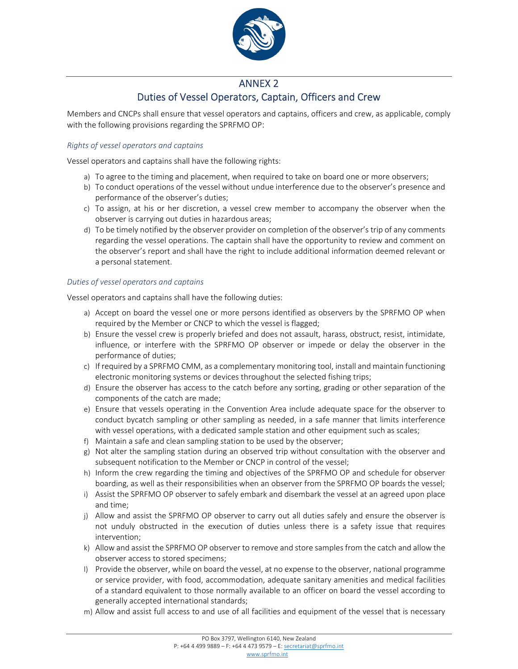

## ANNEX 2 Duties of Vessel Operators, Captain, Officers and Crew

Members and CNCPs shall ensure that vessel operators and captains, officers and crew, as applicable, comply with the following provisions regarding the SPRFMO OP:

#### *Rights of vessel operators and captains*

Vessel operators and captains shall have the following rights:

- a) To agree to the timing and placement, when required to take on board one or more observers;
- b) To conduct operations of the vessel without undue interference due to the observer's presence and performance of the observer's duties;
- c) To assign, at his or her discretion, a vessel crew member to accompany the observer when the observer is carrying out duties in hazardous areas;
- d) To be timely notified by the observer provider on completion of the observer's trip of any comments regarding the vessel operations. The captain shall have the opportunity to review and comment on the observer's report and shall have the right to include additional information deemed relevant or a personal statement.

#### *Duties of vessel operators and captains*

Vessel operators and captains shall have the following duties:

- a) Accept on board the vessel one or more persons identified as observers by the SPRFMO OP when required by the Member or CNCP to which the vessel is flagged;
- b) Ensure the vessel crew is properly briefed and does not assault, harass, obstruct, resist, intimidate, influence, or interfere with the SPRFMO OP observer or impede or delay the observer in the performance of duties;
- c) If required by a SPRFMO CMM, as a complementary monitoring tool, install and maintain functioning electronic monitoring systems or devices throughout the selected fishing trips;
- d) Ensure the observer has access to the catch before any sorting, grading or other separation of the components of the catch are made;
- e) Ensure that vessels operating in the Convention Area include adequate space for the observer to conduct bycatch sampling or other sampling as needed, in a safe manner that limits interference with vessel operations, with a dedicated sample station and other equipment such as scales;
- f) Maintain a safe and clean sampling station to be used by the observer;
- g) Not alter the sampling station during an observed trip without consultation with the observer and subsequent notification to the Member or CNCP in control of the vessel;
- h) Inform the crew regarding the timing and objectives of the SPRFMO OP and schedule for observer boarding, as well as their responsibilities when an observer from the SPRFMO OP boards the vessel;
- i) Assist the SPRFMO OP observer to safely embark and disembark the vessel at an agreed upon place and time;
- j) Allow and assist the SPRFMO OP observer to carry out all duties safely and ensure the observer is not unduly obstructed in the execution of duties unless there is a safety issue that requires intervention;
- k) Allow and assist the SPRFMO OP observer to remove and store samples from the catch and allow the observer access to stored specimens;
- l) Provide the observer, while on board the vessel, at no expense to the observer, national programme or service provider, with food, accommodation, adequate sanitary amenities and medical facilities of a standard equivalent to those normally available to an officer on board the vessel according to generally accepted international standards;
- m) Allow and assist full access to and use of all facilities and equipment of the vessel that is necessary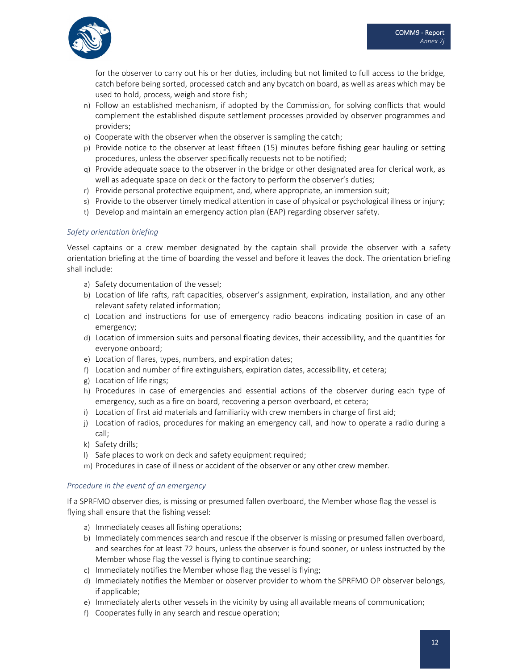

for the observer to carry out his or her duties, including but not limited to full access to the bridge, catch before being sorted, processed catch and any bycatch on board, as well as areas which may be used to hold, process, weigh and store fish;

- n) Follow an established mechanism, if adopted by the Commission, for solving conflicts that would complement the established dispute settlement processes provided by observer programmes and providers;
- o) Cooperate with the observer when the observer is sampling the catch;
- p) Provide notice to the observer at least fifteen (15) minutes before fishing gear hauling or setting procedures, unless the observer specifically requests not to be notified;
- q) Provide adequate space to the observer in the bridge or other designated area for clerical work, as well as adequate space on deck or the factory to perform the observer's duties;
- r) Provide personal protective equipment, and, where appropriate, an immersion suit;
- s) Provide to the observer timely medical attention in case of physical or psychological illness or injury;
- t) Develop and maintain an emergency action plan (EAP) regarding observer safety.

#### *Safety orientation briefing*

Vessel captains or a crew member designated by the captain shall provide the observer with a safety orientation briefing at the time of boarding the vessel and before it leaves the dock. The orientation briefing shall include:

- a) Safety documentation of the vessel;
- b) Location of life rafts, raft capacities, observer's assignment, expiration, installation, and any other relevant safety related information;
- c) Location and instructions for use of emergency radio beacons indicating position in case of an emergency;
- d) Location of immersion suits and personal floating devices, their accessibility, and the quantities for everyone onboard;
- e) Location of flares, types, numbers, and expiration dates;
- f) Location and number of fire extinguishers, expiration dates, accessibility, et cetera;
- g) Location of life rings;
- h) Procedures in case of emergencies and essential actions of the observer during each type of emergency, such as a fire on board, recovering a person overboard, et cetera;
- i) Location of first aid materials and familiarity with crew members in charge of first aid;
- j) Location of radios, procedures for making an emergency call, and how to operate a radio during a call;
- k) Safety drills;
- l) Safe places to work on deck and safety equipment required;
- m) Procedures in case of illness or accident of the observer or any other crew member.

#### *Procedure in the event of an emergency*

If a SPRFMO observer dies, is missing or presumed fallen overboard, the Member whose flag the vessel is flying shall ensure that the fishing vessel:

- a) Immediately ceases all fishing operations;
- b) Immediately commences search and rescue if the observer is missing or presumed fallen overboard, and searches for at least 72 hours, unless the observer is found sooner, or unless instructed by the Member whose flag the vessel is flying to continue searching;
- c) Immediately notifies the Member whose flag the vessel is flying;
- d) Immediately notifies the Member or observer provider to whom the SPRFMO OP observer belongs, if applicable;
- e) Immediately alerts other vessels in the vicinity by using all available means of communication;
- f) Cooperates fully in any search and rescue operation;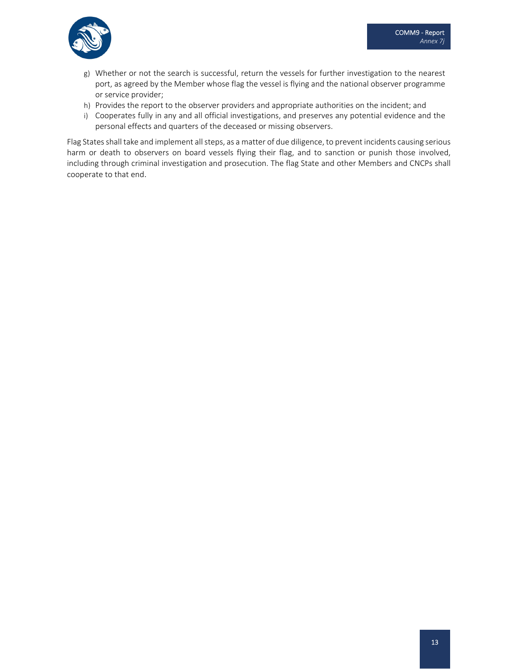

- g) Whether or not the search is successful, return the vessels for further investigation to the nearest port, as agreed by the Member whose flag the vessel is flying and the national observer programme or service provider;
- h) Provides the report to the observer providers and appropriate authorities on the incident; and
- i) Cooperates fully in any and all official investigations, and preserves any potential evidence and the personal effects and quarters of the deceased or missing observers.

Flag States shall take and implement all steps, as a matter of due diligence, to prevent incidents causing serious harm or death to observers on board vessels flying their flag, and to sanction or punish those involved, including through criminal investigation and prosecution. The flag State and other Members and CNCPs shall cooperate to that end.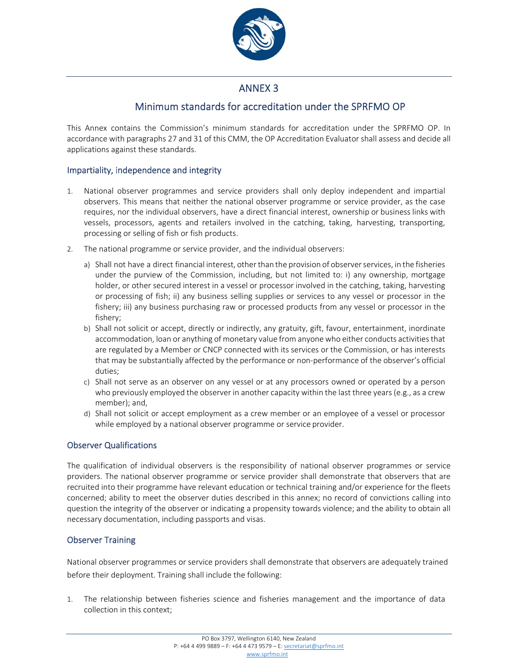

# ANNEX 3

# Minimum standards for accreditation under the SPRFMO OP

This Annex contains the Commission's minimum standards for accreditation under the SPRFMO OP. In accordance with paragraphs 27 and 31 of this CMM, the OP Accreditation Evaluator shall assess and decide all applications against these standards.

#### Impartiality, independence and integrity

- 1. National observer programmes and service providers shall only deploy independent and impartial observers. This means that neither the national observer programme or service provider, as the case requires, nor the individual observers, have a direct financial interest, ownership or business links with vessels, processors, agents and retailers involved in the catching, taking, harvesting, transporting, processing or selling of fish or fish products.
- 2. The national programme or service provider, and the individual observers:
	- a) Shall not have a direct financial interest, other than the provision of observer services, in the fisheries under the purview of the Commission, including, but not limited to: i) any ownership, mortgage holder, or other secured interest in a vessel or processor involved in the catching, taking, harvesting or processing of fish; ii) any business selling supplies or services to any vessel or processor in the fishery; iii) any business purchasing raw or processed products from any vessel or processor in the fishery;
	- b) Shall not solicit or accept, directly or indirectly, any gratuity, gift, favour, entertainment, inordinate accommodation, loan or anything of monetary value from anyone who either conducts activities that are regulated by a Member or CNCP connected with its services or the Commission, or has interests that may be substantially affected by the performance or non‐performance of the observer's official duties;
	- c) Shall not serve as an observer on any vessel or at any processors owned or operated by a person who previously employed the observer in another capacity within the last three years (e.g., as a crew member); and,
	- d) Shall not solicit or accept employment as a crew member or an employee of a vessel or processor while employed by a national observer programme or service provider.

#### Observer Qualifications

The qualification of individual observers is the responsibility of national observer programmes or service providers. The national observer programme or service provider shall demonstrate that observers that are recruited into their programme have relevant education or technical training and/or experience for the fleets concerned; ability to meet the observer duties described in this annex; no record of convictions calling into question the integrity of the observer or indicating a propensity towards violence; and the ability to obtain all necessary documentation, including passports and visas.

#### Observer Training

National observer programmes or service providers shall demonstrate that observers are adequately trained before their deployment. Training shall include the following:

1. The relationship between fisheries science and fisheries management and the importance of data collection in this context;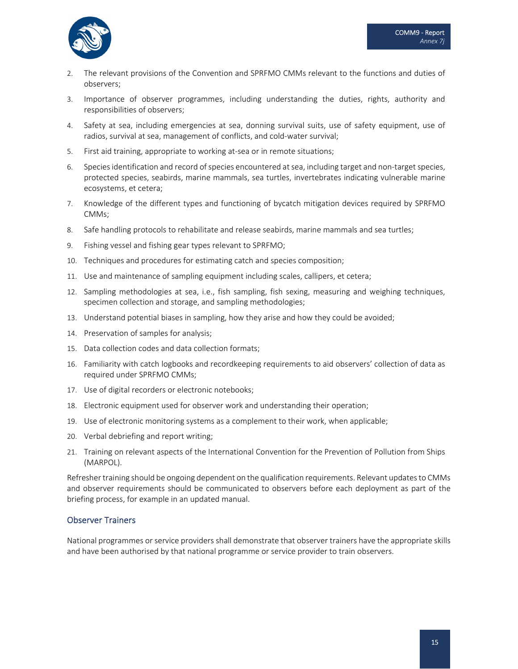

- 2. The relevant provisions of the Convention and SPRFMO CMMs relevant to the functions and duties of observers;
- 3. Importance of observer programmes, including understanding the duties, rights, authority and responsibilities of observers;
- 4. Safety at sea, including emergencies at sea, donning survival suits, use of safety equipment, use of radios, survival at sea, management of conflicts, and cold‐water survival;
- 5. First aid training, appropriate to working at‐sea or in remote situations;
- 6. Species identification and record of species encountered at sea, including target and non-target species, protected species, seabirds, marine mammals, sea turtles, invertebrates indicating vulnerable marine ecosystems, et cetera;
- 7. Knowledge of the different types and functioning of bycatch mitigation devices required by SPRFMO CMMs;
- 8. Safe handling protocols to rehabilitate and release seabirds, marine mammals and sea turtles;
- 9. Fishing vessel and fishing gear types relevant to SPRFMO;
- 10. Techniques and procedures for estimating catch and species composition;
- 11. Use and maintenance of sampling equipment including scales, callipers, et cetera;
- 12. Sampling methodologies at sea, i.e., fish sampling, fish sexing, measuring and weighing techniques, specimen collection and storage, and sampling methodologies;
- 13. Understand potential biases in sampling, how they arise and how they could be avoided;
- 14. Preservation of samples for analysis;
- 15. Data collection codes and data collection formats;
- 16. Familiarity with catch logbooks and recordkeeping requirements to aid observers' collection of data as required under SPRFMO CMMs;
- 17. Use of digital recorders or electronic notebooks;
- 18. Electronic equipment used for observer work and understanding their operation;
- 19. Use of electronic monitoring systems as a complement to their work, when applicable;
- 20. Verbal debriefing and report writing;
- 21. Training on relevant aspects of the International Convention for the Prevention of Pollution from Ships (MARPOL).

Refresher training should be ongoing dependent on the qualification requirements. Relevant updates to CMMs and observer requirements should be communicated to observers before each deployment as part of the briefing process, for example in an updated manual.

#### Observer Trainers

National programmes or service providers shall demonstrate that observer trainers have the appropriate skills and have been authorised by that national programme or service provider to train observers.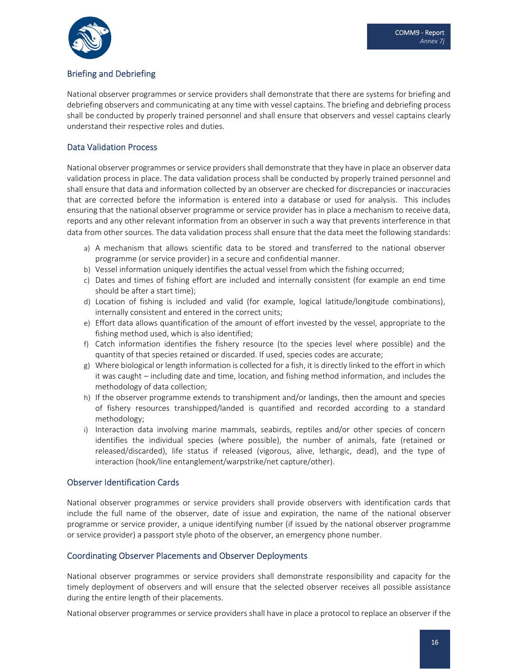

## Briefing and Debriefing

National observer programmes or service providers shall demonstrate that there are systems for briefing and debriefing observers and communicating at any time with vessel captains. The briefing and debriefing process shall be conducted by properly trained personnel and shall ensure that observers and vessel captains clearly understand their respective roles and duties.

### Data Validation Process

National observer programmes or service providers shall demonstrate that they have in place an observer data validation process in place. The data validation process shall be conducted by properly trained personnel and shall ensure that data and information collected by an observer are checked for discrepancies or inaccuracies that are corrected before the information is entered into a database or used for analysis. This includes ensuring that the national observer programme or service provider has in place a mechanism to receive data, reports and any other relevant information from an observer in such a way that prevents interference in that data from other sources. The data validation process shall ensure that the data meet the following standards:

- a) A mechanism that allows scientific data to be stored and transferred to the national observer programme (or service provider) in a secure and confidential manner.
- b) Vessel information uniquely identifies the actual vessel from which the fishing occurred;
- c) Dates and times of fishing effort are included and internally consistent (for example an end time should be after a start time);
- d) Location of fishing is included and valid (for example, logical latitude/longitude combinations), internally consistent and entered in the correct units;
- e) Effort data allows quantification of the amount of effort invested by the vessel, appropriate to the fishing method used, which is also identified;
- f) Catch information identifies the fishery resource (to the species level where possible) and the quantity of that species retained or discarded. If used, species codes are accurate;
- g) Where biological or length information is collected for a fish, it is directly linked to the effort in which it was caught – including date and time, location, and fishing method information, and includes the methodology of data collection;
- h) If the observer programme extends to transhipment and/or landings, then the amount and species of fishery resources transhipped/landed is quantified and recorded according to a standard methodology;
- i) Interaction data involving marine mammals, seabirds, reptiles and/or other species of concern identifies the individual species (where possible), the number of animals, fate (retained or released/discarded), life status if released (vigorous, alive, lethargic, dead), and the type of interaction (hook/line entanglement/warpstrike/net capture/other).

#### Observer Identification Cards

National observer programmes or service providers shall provide observers with identification cards that include the full name of the observer, date of issue and expiration, the name of the national observer programme or service provider, a unique identifying number (if issued by the national observer programme or service provider) a passport style photo of the observer, an emergency phone number.

#### Coordinating Observer Placements and Observer Deployments

National observer programmes or service providers shall demonstrate responsibility and capacity for the timely deployment of observers and will ensure that the selected observer receives all possible assistance during the entire length of their placements.

National observer programmes or service providers shall have in place a protocol to replace an observer if the